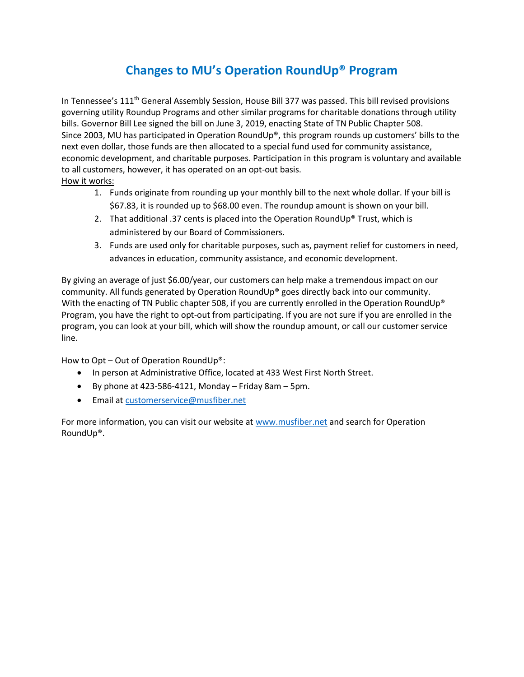## **Changes to MU's Operation RoundUp® Program**

In Tennessee's 111<sup>th</sup> General Assembly Session, House Bill 377 was passed. This bill revised provisions governing utility Roundup Programs and other similar programs for charitable donations through utility bills. Governor Bill Lee signed the bill on June 3, 2019, enacting State of TN Public Chapter 508. Since 2003, MU has participated in Operation RoundUp®, this program rounds up customers' bills to the next even dollar, those funds are then allocated to a special fund used for community assistance, economic development, and charitable purposes. Participation in this program is voluntary and available to all customers, however, it has operated on an opt-out basis.

## How it works:

- 1. Funds originate from rounding up your monthly bill to the next whole dollar. If your bill is \$67.83, it is rounded up to \$68.00 even. The roundup amount is shown on your bill.
- 2. That additional .37 cents is placed into the Operation RoundUp® Trust, which is administered by our Board of Commissioners.
- 3. Funds are used only for charitable purposes, such as, payment relief for customers in need, advances in education, community assistance, and economic development.

By giving an average of just \$6.00/year, our customers can help make a tremendous impact on our community. All funds generated by Operation RoundUp® goes directly back into our community. With the enacting of TN Public chapter 508, if you are currently enrolled in the Operation RoundUp® Program, you have the right to opt-out from participating. If you are not sure if you are enrolled in the program, you can look at your bill, which will show the roundup amount, or call our customer service line.

How to Opt – Out of Operation RoundUp®:

- In person at Administrative Office, located at 433 West First North Street.
- $\bullet$  By phone at 423-586-4121, Monday Friday 8am 5pm.
- **•** Email at [customerservice@musfiber.net](mailto:customerservice@musfiber.net)

For more information, you can visit our website a[t www.musfiber.net](http://www.musfiber.net/) and search for Operation RoundUp®.